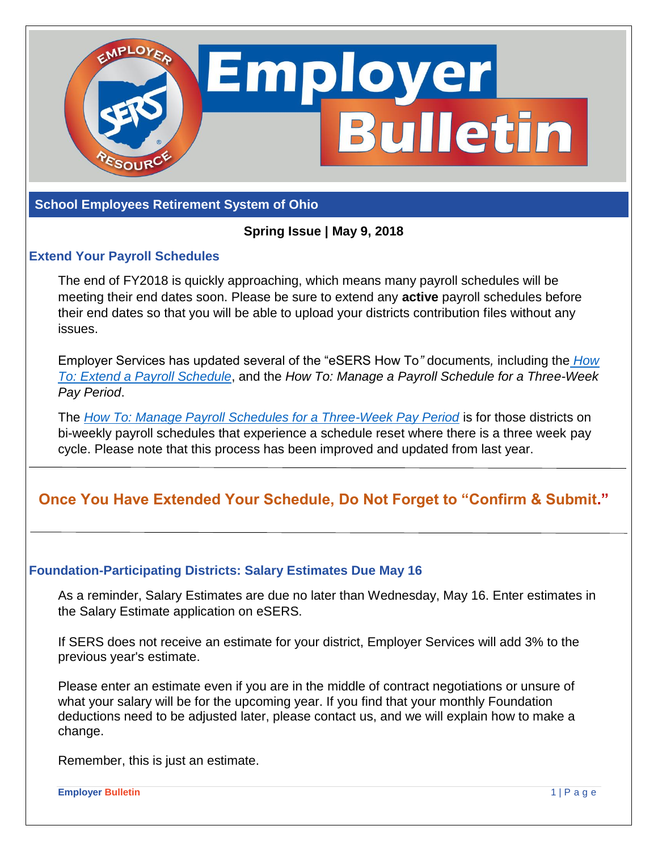

#### **School Employees Retirement System of Ohio**

### **Spring Issue | May 9, 2018**

#### **Extend Your Payroll Schedules**

The end of FY2018 is quickly approaching, which means many payroll schedules will be meeting their end dates soon. Please be sure to extend any **active** payroll schedules before their end dates so that you will be able to upload your districts contribution files without any issues.

Employer Services has updated several of the "eSERS How To*"* documents*,* including the *[How](https://ohsers.org/wp-content/uploads/2018/04/EMP-7003-How-To-Extend-a-Payroll-Schedule.pdf)  To: [Extend a Payroll Schedule](https://ohsers.org/wp-content/uploads/2018/04/EMP-7003-How-To-Extend-a-Payroll-Schedule.pdf)*, and the *How To: Manage a Payroll Schedule for a Three-Week Pay Period*.

The *[How To: Manage Payroll Schedules for a Three-Week Pay Period](https://ohsers.org/wp-content/uploads/2018/04/EMP-7001-How-to-Manage-Three-Week-Pay-Period.pdf)* is for those districts on bi-weekly payroll schedules that experience a schedule reset where there is a three week pay cycle. Please note that this process has been improved and updated from last year.

# **Once You Have Extended Your Schedule, Do Not Forget to "Confirm & Submit."**

### **Foundation-Participating Districts: Salary Estimates Due May 16**

As a reminder, Salary Estimates are due no later than Wednesday, May 16. Enter estimates in the Salary Estimate application on eSERS.

If SERS does not receive an estimate for your district, Employer Services will add 3% to the previous year's estimate.

Please enter an estimate even if you are in the middle of contract negotiations or unsure of what your salary will be for the upcoming year. If you find that your monthly Foundation deductions need to be adjusted later, please contact us, and we will explain how to make a change.

Remember, this is just an estimate.

**Employer Bulletin** 1 | P a g e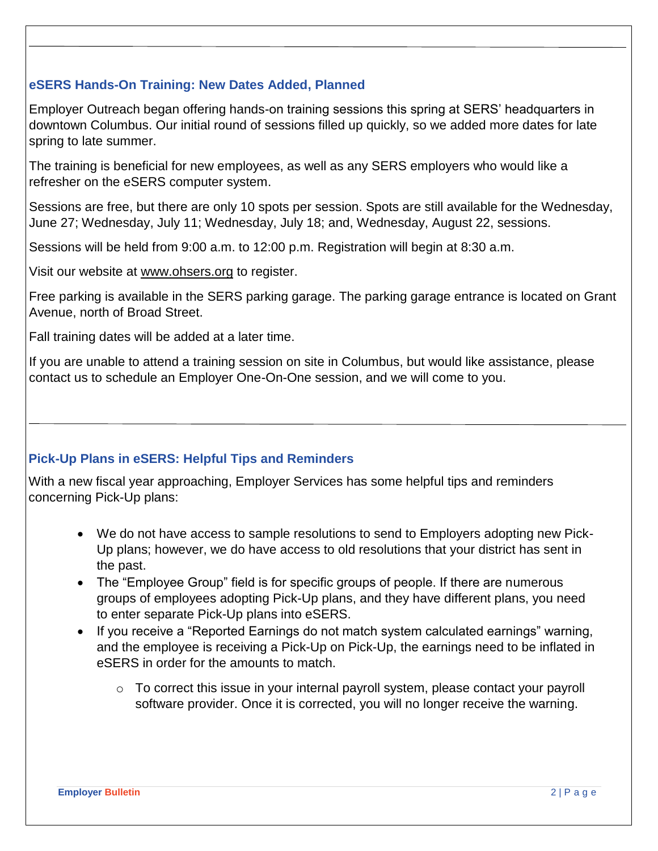# **eSERS Hands-On Training: New Dates Added, Planned**

Employer Outreach began offering hands-on training sessions this spring at SERS' headquarters in downtown Columbus. Our initial round of sessions filled up quickly, so we added more dates for late spring to late summer.

The training is beneficial for new employees, as well as any SERS employers who would like a refresher on the eSERS computer system.

Sessions are free, but there are only 10 spots per session. Spots are still available for the Wednesday, June 27; Wednesday, July 11; Wednesday, July 18; and, Wednesday, August 22, sessions.

Sessions will be held from 9:00 a.m. to 12:00 p.m. Registration will begin at 8:30 a.m.

Visit our website at [www.ohsers.org](http://www.ohsers.org/) to register.

Free parking is available in the SERS parking garage. The parking garage entrance is located on Grant Avenue, north of Broad Street.

Fall training dates will be added at a later time.

If you are unable to attend a training session on site in Columbus, but would like assistance, please contact us to schedule an Employer One-On-One session, and we will come to you.

# **Pick-Up Plans in eSERS: Helpful Tips and Reminders**

With a new fiscal year approaching, Employer Services has some helpful tips and reminders concerning Pick-Up plans:

- We do not have access to sample resolutions to send to Employers adopting new Pick-Up plans; however, we do have access to old resolutions that your district has sent in the past.
- The "Employee Group" field is for specific groups of people. If there are numerous groups of employees adopting Pick-Up plans, and they have different plans, you need to enter separate Pick-Up plans into eSERS.
- If you receive a "Reported Earnings do not match system calculated earnings" warning, and the employee is receiving a Pick-Up on Pick-Up, the earnings need to be inflated in eSERS in order for the amounts to match.
	- $\circ$  To correct this issue in your internal payroll system, please contact your payroll software provider. Once it is corrected, you will no longer receive the warning.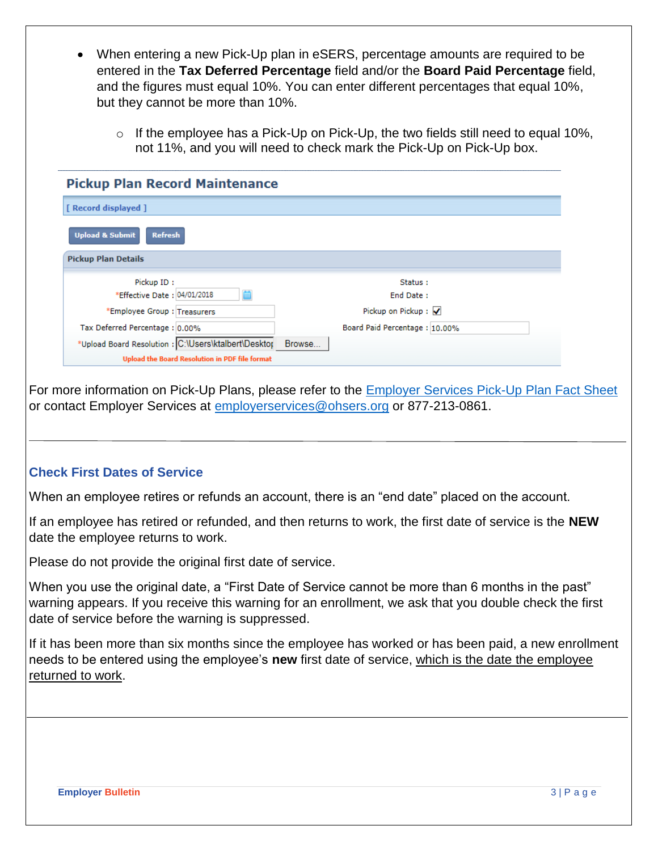- When entering a new Pick-Up plan in eSERS, percentage amounts are required to be entered in the **Tax Deferred Percentage** field and/or the **Board Paid Percentage** field, and the figures must equal 10%. You can enter different percentages that equal 10%, but they cannot be more than 10%.
	- $\circ$  If the employee has a Pick-Up on Pick-Up, the two fields still need to equal 10%, not 11%, and you will need to check mark the Pick-Up on Pick-Up box.

| [ Record displayed ]<br><b>Upload &amp; Submit</b><br><b>Refresh</b><br><b>Pickup Plan Details</b> |                               |  |                              |           |  |
|----------------------------------------------------------------------------------------------------|-------------------------------|--|------------------------------|-----------|--|
|                                                                                                    |                               |  | Pickup ID:                   | Status:   |  |
|                                                                                                    |                               |  | *Effective Date : 04/01/2018 | End Date: |  |
|                                                                                                    | Pickup on Pickup: $\sqrt{}$   |  |                              |           |  |
| *Employee Group : Treasurers                                                                       |                               |  |                              |           |  |
| Tax Deferred Percentage: 0.00%                                                                     | Board Paid Percentage: 10.00% |  |                              |           |  |
| *Upload Board Resolution : C:\Users\ktalbert\Desktor                                               | Browse                        |  |                              |           |  |

For more information on Pick-Up Plans, please refer to the [Employer Services Pick-Up Plan Fact Sheet](http://ohsers.org/wp-content/uploads/2018/04/EMP-7018-Pick-Up-Fact-Sheet.pdf) or contact Employer Services at [employerservices@ohsers.org](mailto:employerservices@ohsers.org) or 877-213-0861.

# **Check First Dates of Service**

When an employee retires or refunds an account, there is an "end date" placed on the account.

If an employee has retired or refunded, and then returns to work, the first date of service is the **NEW** date the employee returns to work.

Please do not provide the original first date of service.

When you use the original date, a "First Date of Service cannot be more than 6 months in the past" warning appears. If you receive this warning for an enrollment, we ask that you double check the first date of service before the warning is suppressed.

If it has been more than six months since the employee has worked or has been paid, a new enrollment needs to be entered using the employee's **new** first date of service, which is the date the employee returned to work.